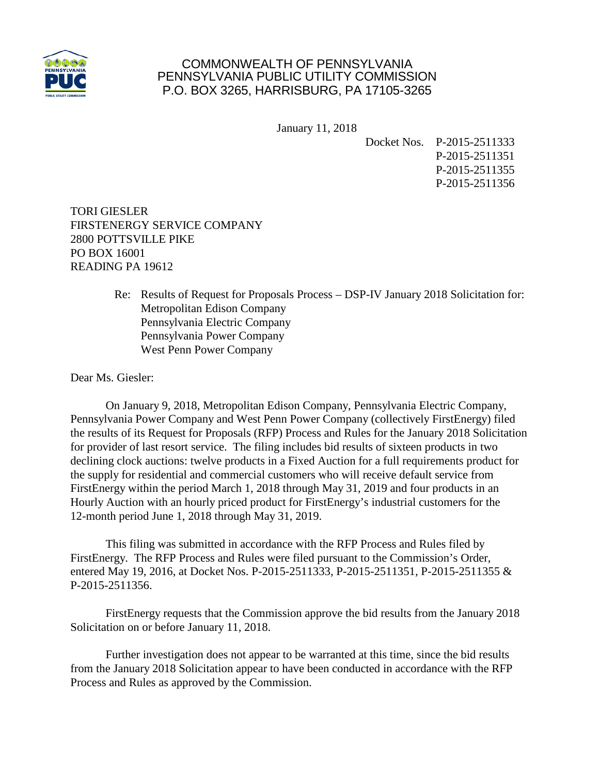

## COMMONWEALTH OF PENNSYLVANIA PENNSYLVANIA PUBLIC UTILITY COMMISSION P.O. BOX 3265, HARRISBURG, PA 17105-3265

January 11, 2018

Docket Nos. P-2015-2511333 P-2015-2511351 P-2015-2511355 P-2015-2511356

TORI GIESLER FIRSTENERGY SERVICE COMPANY 2800 POTTSVILLE PIKE PO BOX 16001 READING PA 19612

> Re: Results of Request for Proposals Process – DSP-IV January 2018 Solicitation for: Metropolitan Edison Company Pennsylvania Electric Company Pennsylvania Power Company West Penn Power Company

Dear Ms. Giesler:

On January 9, 2018, Metropolitan Edison Company, Pennsylvania Electric Company, Pennsylvania Power Company and West Penn Power Company (collectively FirstEnergy) filed the results of its Request for Proposals (RFP) Process and Rules for the January 2018 Solicitation for provider of last resort service. The filing includes bid results of sixteen products in two declining clock auctions: twelve products in a Fixed Auction for a full requirements product for the supply for residential and commercial customers who will receive default service from FirstEnergy within the period March 1, 2018 through May 31, 2019 and four products in an Hourly Auction with an hourly priced product for FirstEnergy's industrial customers for the 12-month period June 1, 2018 through May 31, 2019.

This filing was submitted in accordance with the RFP Process and Rules filed by FirstEnergy. The RFP Process and Rules were filed pursuant to the Commission's Order, entered May 19, 2016, at Docket Nos. P-2015-2511333, P-2015-2511351, P-2015-2511355 & P-2015-2511356.

FirstEnergy requests that the Commission approve the bid results from the January 2018 Solicitation on or before January 11, 2018.

Further investigation does not appear to be warranted at this time, since the bid results from the January 2018 Solicitation appear to have been conducted in accordance with the RFP Process and Rules as approved by the Commission.